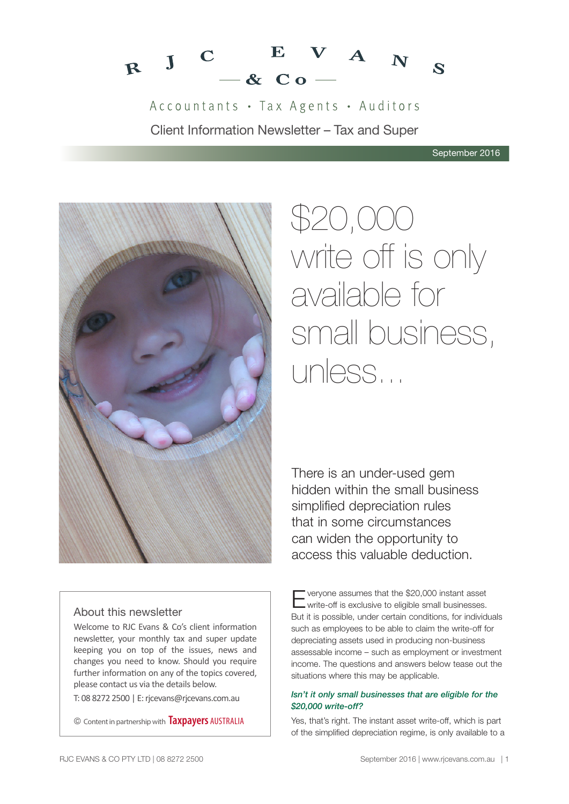

Accountants · Tax Agents · Auditors Client Information Newsletter – Tax and Super



# \$20,000 write off is only available for small business, unless...

There is an under-used gem hidden within the small business simplified depreciation rules that in some circumstances can widen the opportunity to access this valuable deduction.

# About this newsletter

Welcome to RJC Evans & Co's client information newsletter, your monthly tax and super update keeping you on top of the issues, news and changes you need to know. Should you require further information on any of the topics covered, please contact us via the details below.

T: 08 8272 2500 | E: rjcevans@rjcevans.com.au

© Content in partnership with **Taxpayers** AUSTRALIA

Everyone assumes that the \$20,000 instant asset write-off is exclusive to eligible small businesses. But it is possible, under certain conditions, for individuals such as employees to be able to claim the write-off for depreciating assets used in producing non-business assessable income – such as employment or investment income. The questions and answers below tease out the situations where this may be applicable.

## *Isn't it only small businesses that are eligible for the \$20,000 write-off?*

Yes, that's right. The instant asset write-off, which is part of the simplified depreciation regime, is only available to a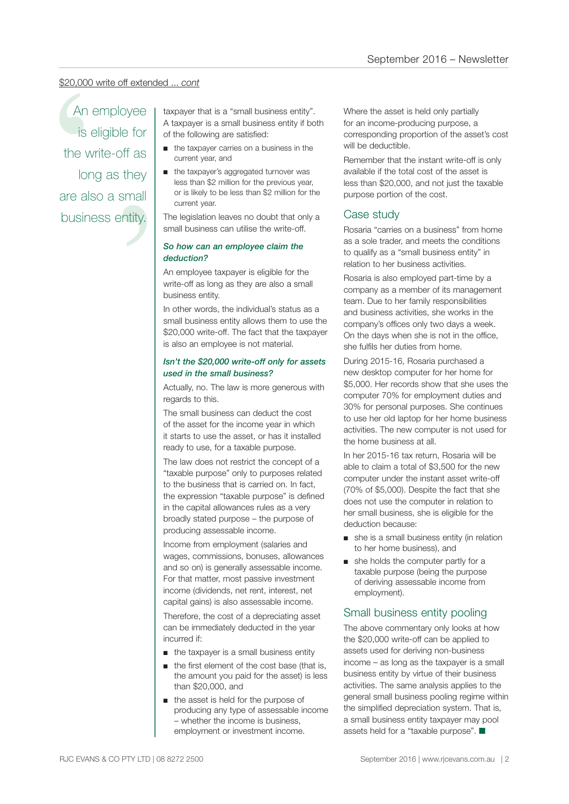#### \$20,000 write off extended ... *cont*

oner<br>ff as<br>they<br>small<br>ntity. Section of the taxpayer that is a "small business entity".<br>
An employee and taxpayer that is a "small business entity".<br>
Is eligible for a taxpayer is a small business entity if bough the taxpayer is a small business entit An employee is eligible for the write-off as long as they are also a small business entity.

A taxpayer is a small business entity if both of the following are satisfied:

- the taxpayer carries on a business in the current year, and
- the taxpayer's aggregated turnover was less than \$2 million for the previous year, or is likely to be less than \$2 million for the current year.

The legislation leaves no doubt that only a small business can utilise the write-off.

#### *So how can an employee claim the deduction?*

An employee taxpayer is eligible for the write-off as long as they are also a small business entity.

In other words, the individual's status as a small business entity allows them to use the \$20,000 write-off. The fact that the taxpayer is also an employee is not material.

#### *Isn't the \$20,000 write-off only for assets used in the small business?*

Actually, no. The law is more generous with regards to this.

The small business can deduct the cost of the asset for the income year in which it starts to use the asset, or has it installed ready to use, for a taxable purpose.

The law does not restrict the concept of a "taxable purpose" only to purposes related to the business that is carried on. In fact, the expression "taxable purpose" is defined in the capital allowances rules as a very broadly stated purpose – the purpose of producing assessable income.

Income from employment (salaries and wages, commissions, bonuses, allowances and so on) is generally assessable income. For that matter, most passive investment income (dividends, net rent, interest, net capital gains) is also assessable income.

Therefore, the cost of a depreciating asset can be immediately deducted in the year incurred if:

- the taxpayer is a small business entity
- the first element of the cost base (that is, the amount you paid for the asset) is less than \$20,000, and
- the asset is held for the purpose of producing any type of assessable income – whether the income is business, employment or investment income.

Where the asset is held only partially for an income-producing purpose, a corresponding proportion of the asset's cost will be deductible.

Remember that the instant write-off is only available if the total cost of the asset is less than \$20,000, and not just the taxable purpose portion of the cost.

# Case study

Rosaria "carries on a business" from home as a sole trader, and meets the conditions to qualify as a "small business entity" in relation to her business activities.

Rosaria is also employed part-time by a company as a member of its management team. Due to her family responsibilities and business activities, she works in the company's offices only two days a week. On the days when she is not in the office, she fulfils her duties from home.

During 2015-16, Rosaria purchased a new desktop computer for her home for \$5,000. Her records show that she uses the computer 70% for employment duties and 30% for personal purposes. She continues to use her old laptop for her home business activities. The new computer is not used for the home business at all.

In her 2015-16 tax return, Rosaria will be able to claim a total of \$3,500 for the new computer under the instant asset write-off (70% of \$5,000). Despite the fact that she does not use the computer in relation to her small business, she is eligible for the deduction because:

- she is a small business entity (in relation to her home business), and
- she holds the computer partly for a taxable purpose (being the purpose of deriving assessable income from employment).

# Small business entity pooling

The above commentary only looks at how the \$20,000 write-off can be applied to assets used for deriving non-business income – as long as the taxpayer is a small business entity by virtue of their business activities. The same analysis applies to the general small business pooling regime within the simplified depreciation system. That is, a small business entity taxpayer may pool assets held for a "taxable purpose".  $\blacksquare$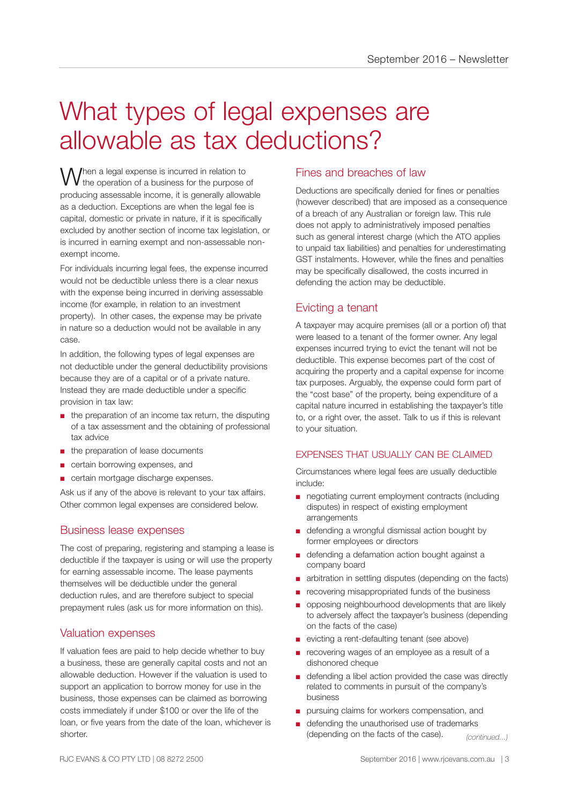# What types of legal expenses are allowable as tax deductions?

When a legal expense is incurred in relation to<br>
We the operation of a business for the purpose of producing assessable income, it is generally allowable as a deduction. Exceptions are when the legal fee is capital, domestic or private in nature, if it is specifically excluded by another section of income tax legislation, or is incurred in earning exempt and non-assessable nonexempt income.

For individuals incurring legal fees, the expense incurred would not be deductible unless there is a clear nexus with the expense being incurred in deriving assessable income (for example, in relation to an investment property). In other cases, the expense may be private in nature so a deduction would not be available in any case.

In addition, the following types of legal expenses are not deductible under the general deductibility provisions because they are of a capital or of a private nature. Instead they are made deductible under a specific provision in tax law:

- the preparation of an income tax return, the disputing of a tax assessment and the obtaining of professional tax advice
- the preparation of lease documents
- certain borrowing expenses, and
- certain mortgage discharge expenses.

Ask us if any of the above is relevant to your tax affairs. Other common legal expenses are considered below.

## Business lease expenses

The cost of preparing, registering and stamping a lease is deductible if the taxpayer is using or will use the property for earning assessable income. The lease payments themselves will be deductible under the general deduction rules, and are therefore subject to special prepayment rules (ask us for more information on this).

## Valuation expenses

If valuation fees are paid to help decide whether to buy a business, these are generally capital costs and not an allowable deduction. However if the valuation is used to support an application to borrow money for use in the business, those expenses can be claimed as borrowing costs immediately if under \$100 or over the life of the loan, or five years from the date of the loan, whichever is shorter.

# Fines and breaches of law

Deductions are specifically denied for fines or penalties (however described) that are imposed as a consequence of a breach of any Australian or foreign law. This rule does not apply to administratively imposed penalties such as general interest charge (which the ATO applies to unpaid tax liabilities) and penalties for underestimating GST instalments. However, while the fines and penalties may be specifically disallowed, the costs incurred in defending the action may be deductible.

## Evicting a tenant

A taxpayer may acquire premises (all or a portion of) that were leased to a tenant of the former owner. Any legal expenses incurred trying to evict the tenant will not be deductible. This expense becomes part of the cost of acquiring the property and a capital expense for income tax purposes. Arguably, the expense could form part of the "cost base" of the property, being expenditure of a capital nature incurred in establishing the taxpayer's title to, or a right over, the asset. Talk to us if this is relevant to your situation.

## EXPENSES THAT USUALLY CAN BE CLAIMED.

Circumstances where legal fees are usually deductible include:

- negotiating current employment contracts (including disputes) in respect of existing employment arrangements
- defending a wrongful dismissal action bought by former employees or directors
- defending a defamation action bought against a company board
- arbitration in settling disputes (depending on the facts)
- recovering misappropriated funds of the business
- opposing neighbourhood developments that are likely to adversely affect the taxpayer's business (depending on the facts of the case)
- evicting a rent-defaulting tenant (see above)
- recovering wages of an employee as a result of a dishonored cheque
- defending a libel action provided the case was directly related to comments in pursuit of the company's business
- pursuing claims for workers compensation, and
- defending the unauthorised use of trademarks (depending on the facts of the case). *(continued...)*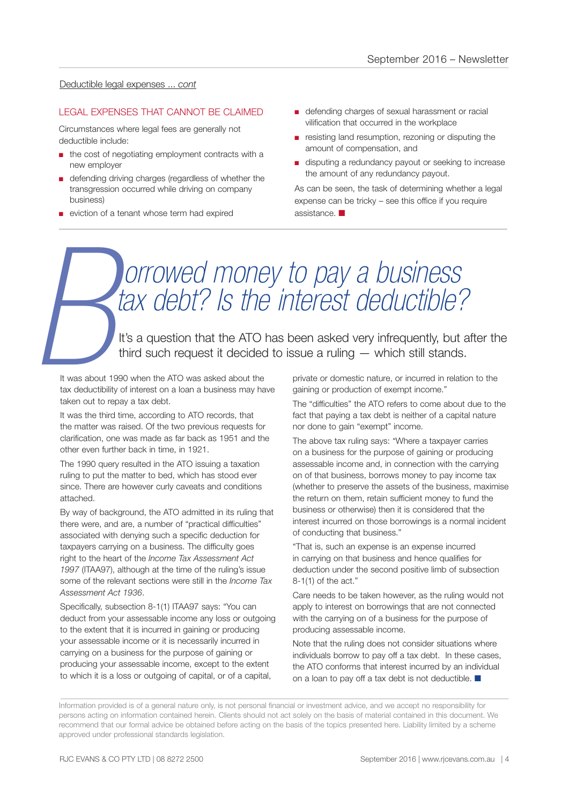#### Deductible legal expenses ... *cont*

#### LEGAL EXPENSES THAT CANNOT BE CLAIMED

Circumstances where legal fees are generally not deductible include:

- the cost of negotiating employment contracts with a new employer
- defending driving charges (regardless of whether the transgression occurred while driving on company business)
- eviction of a tenant whose term had expired
- defending charges of sexual harassment or racial vilification that occurred in the workplace
- resisting land resumption, rezoning or disputing the amount of compensation, and
- disputing a redundancy payout or seeking to increase the amount of any redundancy payout.

As can be seen, the task of determining whether a legal expense can be tricky – see this office if you require assistance.  $\blacksquare$ 

# *orrowed money to pay a business tax debt? Is the interest deductible?* It's a question that the ATO has been asked very infrequently, but after the *Bthird such request it decided to issue a ruling — which still stands.*<br>
It was about 1990 when the ATO was asked about the *private or domestic*

It was about 1990 when the ATO was asked about the tax deductibility of interest on a loan a business may have taken out to repay a tax debt.

It was the third time, according to ATO records, that the matter was raised. Of the two previous requests for clarification, one was made as far back as 1951 and the other even further back in time, in 1921.

The 1990 query resulted in the ATO issuing a taxation ruling to put the matter to bed, which has stood ever since. There are however curly caveats and conditions attached.

By way of background, the ATO admitted in its ruling that there were, and are, a number of "practical difficulties" associated with denying such a specific deduction for taxpayers carrying on a business. The difficulty goes right to the heart of the *Income Tax Assessment Act 1997* (ITAA97), although at the time of the ruling's issue some of the relevant sections were still in the *Income Tax Assessment Act 1936*.

Specifically, subsection 8-1(1) ITAA97 says: "You can deduct from your assessable income any loss or outgoing to the extent that it is incurred in gaining or producing your assessable income or it is necessarily incurred in carrying on a business for the purpose of gaining or producing your assessable income, except to the extent to which it is a loss or outgoing of capital, or of a capital,

private or domestic nature, or incurred in relation to the gaining or production of exempt income."

The "difficulties" the ATO refers to come about due to the fact that paying a tax debt is neither of a capital nature nor done to gain "exempt" income.

The above tax ruling says: "Where a taxpayer carries on a business for the purpose of gaining or producing assessable income and, in connection with the carrying on of that business, borrows money to pay income tax (whether to preserve the assets of the business, maximise the return on them, retain sufficient money to fund the business or otherwise) then it is considered that the interest incurred on those borrowings is a normal incident of conducting that business."

"That is, such an expense is an expense incurred in carrying on that business and hence qualifies for deduction under the second positive limb of subsection 8-1(1) of the act."

Care needs to be taken however, as the ruling would not apply to interest on borrowings that are not connected with the carrying on of a business for the purpose of producing assessable income.

Note that the ruling does not consider situations where individuals borrow to pay off a tax debt. In these cases, the ATO conforms that interest incurred by an individual on a loan to pay off a tax debt is not deductible.  $\blacksquare$ 

Information provided is of a general nature only, is not personal financial or investment advice, and we accept no responsibility for persons acting on information contained herein. Clients should not act solely on the basis of material contained in this document. We recommend that our formal advice be obtained before acting on the basis of the topics presented here. Liability limited by a scheme approved under professional standards legislation.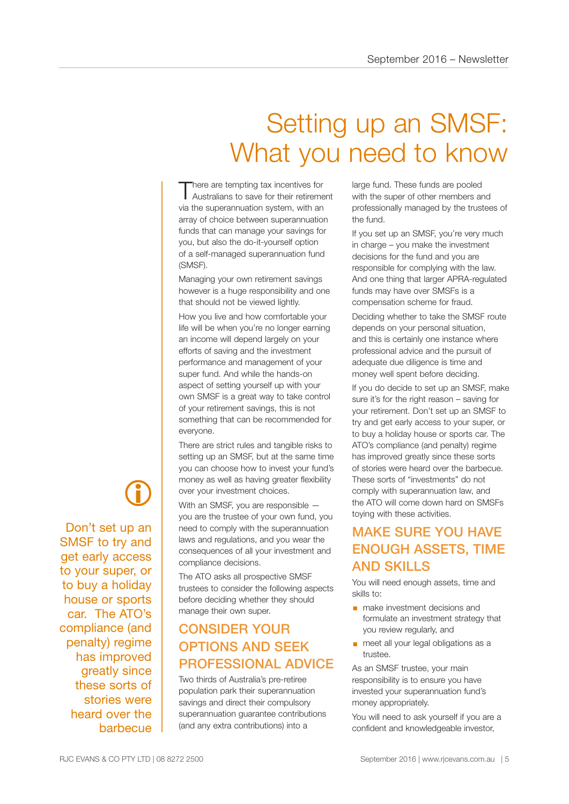# Setting up an SMSF: What you need to know

There are tempting tax incentives for<br>Australians to save for their retirement via the superannuation system, with an array of choice between superannuation funds that can manage your savings for you, but also the do-it-yourself option of a self-managed superannuation fund (SMSF).

Managing your own retirement savings however is a huge responsibility and one that should not be viewed lightly.

How you live and how comfortable your life will be when you're no longer earning an income will depend largely on your efforts of saving and the investment performance and management of your super fund. And while the hands-on aspect of setting yourself up with your own SMSF is a great way to take control of your retirement savings, this is not something that can be recommended for everyone.

There are strict rules and tangible risks to setting up an SMSF, but at the same time you can choose how to invest your fund's money as well as having greater flexibility over your investment choices.

With an SMSF, you are responsible you are the trustee of your own fund, you need to comply with the superannuation laws and regulations, and you wear the consequences of all your investment and compliance decisions.

The ATO asks all prospective SMSF trustees to consider the following aspects before deciding whether they should manage their own super.

# CONSIDER YOUR OPTIONS AND SEEK PROFESSIONAL ADVICE

Two thirds of Australia's pre-retiree population park their superannuation savings and direct their compulsory superannuation guarantee contributions (and any extra contributions) into a

large fund. These funds are pooled with the super of other members and professionally managed by the trustees of the fund.

If you set up an SMSF, you're very much in charge – you make the investment decisions for the fund and you are responsible for complying with the law. And one thing that larger APRA-regulated funds may have over SMSFs is a compensation scheme for fraud.

Deciding whether to take the SMSF route depends on your personal situation, and this is certainly one instance where professional advice and the pursuit of adequate due diligence is time and money well spent before deciding.

If you do decide to set up an SMSF, make sure it's for the right reason – saving for your retirement. Don't set up an SMSF to try and get early access to your super, or to buy a holiday house or sports car. The ATO's compliance (and penalty) regime has improved greatly since these sorts of stories were heard over the barbecue. These sorts of "investments" do not comply with superannuation law, and the ATO will come down hard on SMSFs toying with these activities.

# MAKE SURE YOU HAVE ENOUGH ASSETS, TIME AND SKILLS

You will need enough assets, time and skills to:

- **•** make investment decisions and formulate an investment strategy that you review regularly, and
- meet all your legal obligations as a trustee.

As an SMSF trustee, your main responsibility is to ensure you have invested your superannuation fund's money appropriately.

You will need to ask yourself if you are a confident and knowledgeable investor,

# $\bigcirc$

Don't set up an SMSF to try and get early access to your super, or to buy a holiday house or sports car. The ATO's compliance (and penalty) regime has improved greatly since these sorts of stories were heard over the barbecue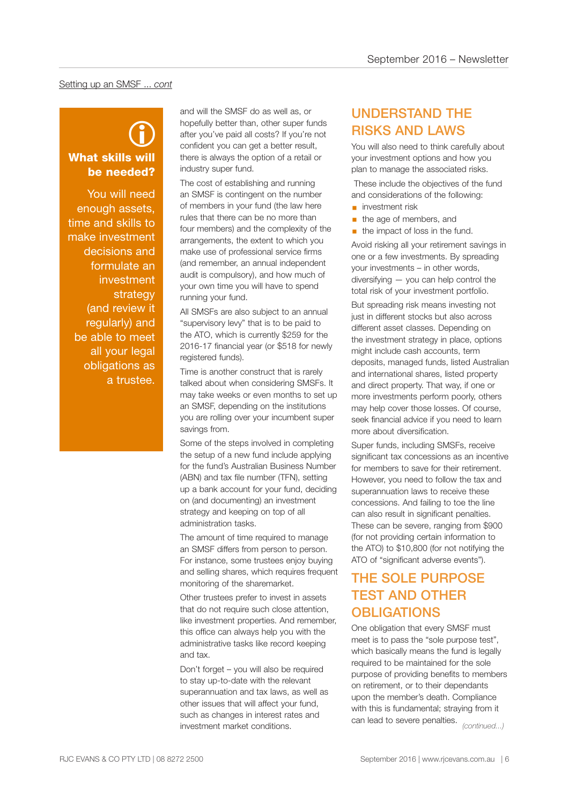#### Setting up an SMSF ... *cont*

# What skills will be needed?  $\bigcirc$

You will need enough assets, time and skills to make investment decisions and formulate an investment strategy (and review it regularly) and be able to meet all your legal obligations as a trustee.

and will the SMSF do as well as, or hopefully better than, other super funds after you've paid all costs? If you're not confident you can get a better result, there is always the option of a retail or industry super fund.

The cost of establishing and running an SMSF is contingent on the number of members in your fund (the law here rules that there can be no more than four members) and the complexity of the arrangements, the extent to which you make use of professional service firms (and remember, an annual independent audit is compulsory), and how much of your own time you will have to spend running your fund.

All SMSFs are also subject to an annual "supervisory levy" that is to be paid to the ATO, which is currently \$259 for the 2016-17 financial year (or \$518 for newly registered funds).

Time is another construct that is rarely talked about when considering SMSFs. It may take weeks or even months to set up an SMSF, depending on the institutions you are rolling over your incumbent super savings from.

Some of the steps involved in completing the setup of a new fund include applying for the fund's Australian Business Number (ABN) and tax file number (TFN), setting up a bank account for your fund, deciding on (and documenting) an investment strategy and keeping on top of all administration tasks.

The amount of time required to manage an SMSF differs from person to person. For instance, some trustees enjoy buying and selling shares, which requires frequent monitoring of the sharemarket.

Other trustees prefer to invest in assets that do not require such close attention, like investment properties. And remember, this office can always help you with the administrative tasks like record keeping and tax.

Don't forget – you will also be required to stay up-to-date with the relevant superannuation and tax laws, as well as other issues that will affect your fund, such as changes in interest rates and investment market conditions.

# UNDERSTAND THE RISKS AND LAWS

You will also need to think carefully about your investment options and how you plan to manage the associated risks.

 These include the objectives of the fund and considerations of the following:

- **■** investment risk
- **•** the age of members, and
- the impact of loss in the fund.

Avoid risking all your retirement savings in one or a few investments. By spreading your investments – in other words, diversifying — you can help control the total risk of your investment portfolio.

But spreading risk means investing not just in different stocks but also across different asset classes. Depending on the investment strategy in place, options might include cash accounts, term deposits, managed funds, listed Australian and international shares, listed property and direct property. That way, if one or more investments perform poorly, others may help cover those losses. Of course, seek financial advice if you need to learn more about diversification.

Super funds, including SMSFs, receive significant tax concessions as an incentive for members to save for their retirement. However, you need to follow the tax and superannuation laws to receive these concessions. And failing to toe the line can also result in significant penalties. These can be severe, ranging from \$900 (for not providing certain information to the ATO) to \$10,800 (for not notifying the ATO of "significant adverse events").

# THE SOLE PURPOSE TEST AND OTHER **OBLIGATIONS**

One obligation that every SMSF must meet is to pass the "sole purpose test", which basically means the fund is legally required to be maintained for the sole purpose of providing benefits to members on retirement, or to their dependants upon the member's death. Compliance with this is fundamental; straying from it can lead to severe penalties. *(continued...)*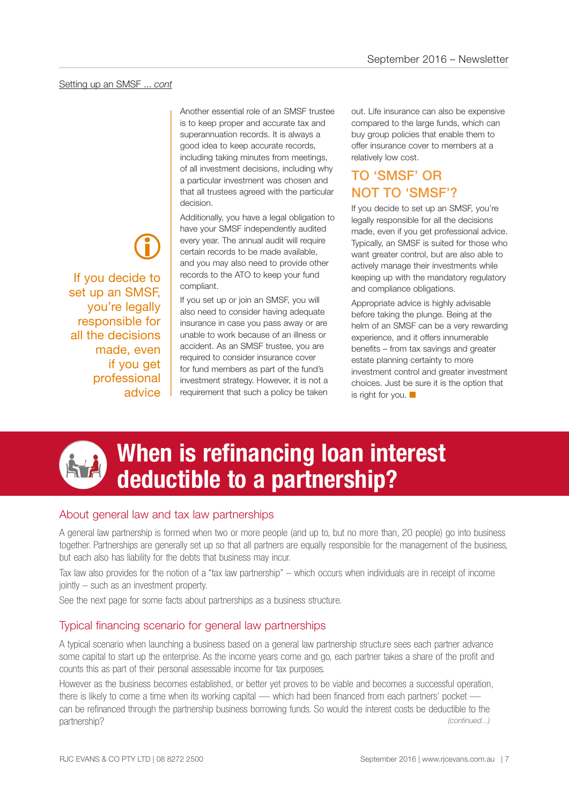Another essential role of an SMSF trustee is to keep proper and accurate tax and superannuation records. It is always a good idea to keep accurate records, including taking minutes from meetings, of all investment decisions, including why a particular investment was chosen and that all trustees agreed with the particular decision.

Additionally, you have a legal obligation to have your SMSF independently audited every year. The annual audit will require certain records to be made available, and you may also need to provide other records to the ATO to keep your fund compliant.

If you set up or join an SMSF, you will also need to consider having adequate insurance in case you pass away or are unable to work because of an illness or accident. As an SMSF trustee, you are required to consider insurance cover for fund members as part of the fund's investment strategy. However, it is not a requirement that such a policy be taken out. Life insurance can also be expensive compared to the large funds, which can buy group policies that enable them to offer insurance cover to members at a relatively low cost.

# TO 'SMSF' OR NOT TO 'SMSF'?

If you decide to set up an SMSF, you're legally responsible for all the decisions made, even if you get professional advice. Typically, an SMSF is suited for those who want greater control, but are also able to actively manage their investments while keeping up with the mandatory regulatory and compliance obligations.

Appropriate advice is highly advisable before taking the plunge. Being at the helm of an SMSF can be a very rewarding experience, and it offers innumerable benefits – from tax savings and greater estate planning certainty to more investment control and greater investment choices. Just be sure it is the option that is right for you.  $\Box$ 





# **When is refinancing loan interest deductible to a partnership?**

# About general law and tax law partnerships

A general law partnership is formed when two or more people (and up to, but no more than, 20 people) go into business together. Partnerships are generally set up so that all partners are equally responsible for the management of the business, but each also has liability for the debts that business may incur.

Tax law also provides for the notion of a "tax law partnership" – which occurs when individuals are in receipt of income jointly – such as an investment property.

See the next page for some facts about partnerships as a business structure.

# Typical financing scenario for general law partnerships

A typical scenario when launching a business based on a general law partnership structure sees each partner advance some capital to start up the enterprise. As the income years come and go, each partner takes a share of the profit and counts this as part of their personal assessable income for tax purposes.

However as the business becomes established, or better yet proves to be viable and becomes a successful operation, there is likely to come a time when its working capital — which had been financed from each partners' pocket can be refinanced through the partnership business borrowing funds. So would the interest costs be deductible to the partnership? *(continued...)*